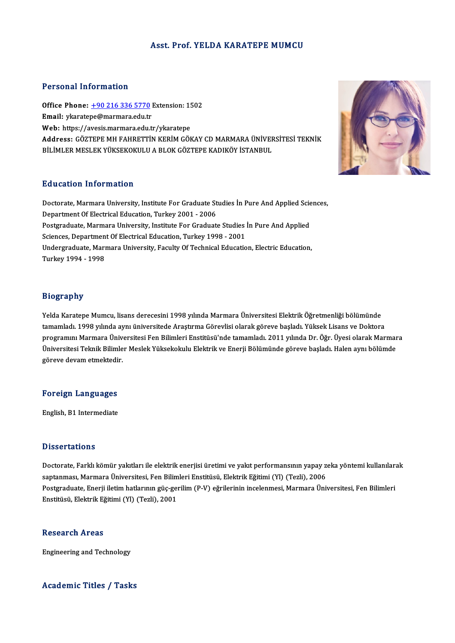### Asst. Prof. YELDA KARATEPE MUMCU

### Personal Information

Personal Information<br>Office Phone: <u>+90 216 336 5770</u> Extension: 1502<br>Email: vicaratone@marmars.edu.tr Processian information<br>Office Phone: <u>+90 216 336 5770</u><br>Email: ykarate[pe@marmara.edu.tr](tel:+90 216 336 5770) Office Phone: <u>+90 216 336 5770</u> Extension: 1!<br>Email: ykaratepe@marmara.edu.tr<br>Web: https://avesis.marmara.edu.tr/ykaratepe<br>Address: CÖ7TEPE MH EAHDETTIN KEPIM CÖL Email: ykaratepe@marmara.edu.tr<br>Web: https://avesis.marmara.edu.tr/ykaratepe<br>Address: GÖZTEPE MH FAHRETTİN KERİM GÖKAY CD MARMARA ÜNİVERSİTESİ TEKNİK<br>PİLİMLER MESLEK VÜKSEKOKULU A RLOK GÖZTERE KADIKÖV İSTANPUL Web: https://avesis.marmara.edu.tr/ykaratepe<br>Address: GÖZTEPE MH FAHRETTİN KERİM GÖKAY CD MARMARA ÜNİVEF<br>BİLİMLER MESLEK YÜKSEKOKULU A BLOK GÖZTEPE KADIKÖY İSTANBUL BİLİMLER MESLEK YÜKSEKOKULU A BLOK GÖZTEPE KADIKÖY İSTANBUL<br>Education Information

Education Information<br>Doctorate, Marmara University, Institute For Graduate Studies İn Pure And Applied Sciences,<br>Penartment Of Electrical Education, Turkey 2001, 2006 Department of Internet<br>Department Of Electrical Education, Turkey 2001 - 2006<br>Department Of Electrical Education, Turkey 2001 - 2006<br>Restaugduste Mermore University, Institute For Creduct Doctorate, Marmara University, Institute For Graduate Studies İn Pure And Applied Scie<br>Department Of Electrical Education, Turkey 2001 - 2006<br>Postgraduate, Marmara University, Institute For Graduate Studies İn Pure And App Department Of Electrical Education, Turkey 2001 - 2006<br>Postgraduate, Marmara University, Institute For Graduate Studies<br>Sciences, Department Of Electrical Education, Turkey 1998 - 2001<br>Undergraduate Marmara University, Fac Postgraduate, Marmara University, Institute For Graduate Studies İn Pure And Applied<br>Sciences, Department Of Electrical Education, Turkey 1998 - 2001<br>Undergraduate, Marmara University, Faculty Of Technical Education, Elect Sciences, Departmen<br>Undergraduate, Marı<br>Turkey 1994 - 1998

### Biography

Yelda Karatepe Mumcu, lisans derecesini 1998 yılında Marmara Üniversitesi Elektrik Öğretmenliği bölümünde tamamladı. 1998 yılında aynı üniversitede Araştırma Görevlisi olarak göreve başladı. Yüksek Lisans ve Doktora Yelda Karatepe Mumcu, lisans derecesini 1998 yılında Marmara Üniversitesi Elektrik Öğretmenliği bölümünde<br>tamamladı. 1998 yılında aynı üniversitede Araştırma Görevlisi olarak göreve başladı. Yüksek Lisans ve Doktora<br>progra tamamladı. 1998 yılında aynı üniversitede Araştırma Görevlisi olarak göreve başladı. Yüksek Lisans ve Doktora<br>programını Marmara Üniversitesi Fen Bilimleri Enstitüsü'nde tamamladı. 2011 yılında Dr. Öğr. Üyesi olarak Marmar programını Marmara Üniv<br>Üniversitesi Teknik Bilimle<br>göreve devam etmektedir.

# göreve devam etmektedir.<br>Foreign Languages

English, B1 Intermediate

### **Dissertations**

Dissertations<br>Doctorate, Farklı kömür yakıtları ile elektrik enerjisi üretimi ve yakıt performansının yapay zeka yöntemi kullanılarak<br>santanması Marmara Üniversitesi Een Bilimleri Enstitüsü, Elektrik Eğitimi (Yl) (Tegli), s saasar tastama<br>Doctorate, Farklı kömür yakıtları ile elektrik enerjisi üretimi ve yakıt performansının yapay z<br>saptanması, Marmara Üniversitesi, Fen Bilimleri Enstitüsü, Elektrik Eğitimi (Yl) (Tezli), 2006<br>Postaraduata, Doctorate, Farklı kömür yakıtları ile elektrik enerjisi üretimi ve yakıt performansının yapay zeka yöntemi kullanıları<br>saptanması, Marmara Üniversitesi, Fen Bilimleri Enstitüsü, Elektrik Eğitimi (Yl) (Tezli), 2006<br>Postgrad saptanması, Marmara Üniversitesi, Fen Bilim<br>Postgraduate, Enerji iletim hatlarının güç-geı<br>Enstitüsü, Elektrik Eğitimi (Yl) (Tezli), 2001 Enstitüsü, Elektrik Eğitimi (Yl) (Tezli), 2001<br>Research Areas

Engineering andTechnology

### Academic Titles / Tasks

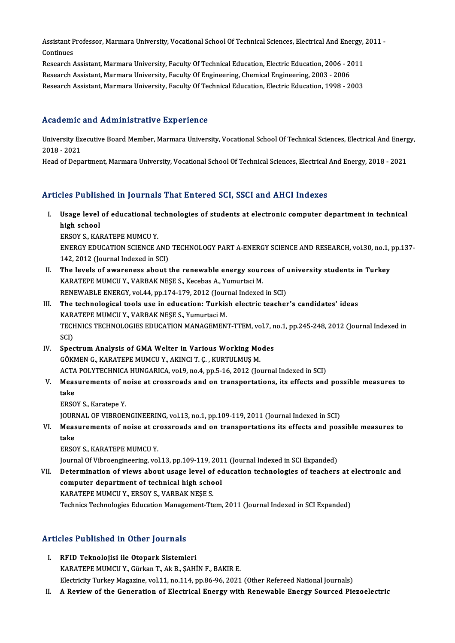Assistant Professor, Marmara University, Vocational School Of Technical Sciences, Electrical And Energy, 2011 -<br>Continues Assistant P<br>Continues<br>Pessarsh Assistant Professor, Marmara University, Vocational School Of Technical Sciences, Electrical And Energy,<br>Continues<br>Research Assistant, Marmara University, Faculty Of Technical Education, Electric Education, 2006 - 2011<br>Res

Continues<br>Research Assistant, Marmara University, Faculty Of Technical Education, Electric Education, 2006 - 2011<br>Research Assistant, Marmara University, Faculty Of Engineering, Chemical Engineering, 2003 - 2006 Research Assistant, Marmara University, Faculty Of Technical Education, Electric Education, 1998 - 2003

### Academic and Administrative Experience

Academic and Administrative Experience<br>University Executive Board Member, Marmara University, Vocational School Of Technical Sciences, Electrical And Energy,<br>2018 - 2021 Troutomre<br>University Ex<br>2018 - 2021<br>Heed of Dens

2018 - 2021<br>Head of Department, Marmara University, Vocational School Of Technical Sciences, Electrical And Energy, 2018 - 2021

## Articles Published in Journals That Entered SCI, SSCI and AHCI Indexes

- I. Usage level of educational technologies of students at electronic computer department in technical<br>I. Usage level of educational technologies of students at electronic computer department in technical<br>high school high school<br>high school<br>EDSOVS KAL Usage level of educational te<br>high school<br>ERSOY S., KARATEPE MUMCU Y.<br>ENEPCY EDUCATION SCIENCE 4
	-

high school<br>ERSOY S., KARATEPE MUMCU Y.<br>ENERGY EDUCATION SCIENCE AND TECHNOLOGY PART A-ENERGY SCIENCE AND RESEARCH, vol.30, no.1, pp.137-<br>142, 2012 (Jaurnal Indoved in SCD ERSOY S., KARATEPE MUMCU Y.<br>ENERGY EDUCATION SCIENCE AND<br>142, 2012 (Journal Indexed in SCI)<br>The loyals of ayaraness about t ENERGY EDUCATION SCIENCE AND TECHNOLOGY PART A-ENERGY SCIENCE AND RESEARCH, vol.30, no.1,<br>142, 2012 (Journal Indexed in SCI)<br>II. The levels of awareness about the renewable energy sources of university students in Turkey<br>K

142, 2012 (Journal Indexed in SCI)<br>The levels of awareness about the renewable energy sour<br>KARATEPE MUMCU Y., VARBAK NEŞE S., Kecebas A., Yumurtaci M.<br>RENEWARLE ENERGY vol.44, np.174,179, 2012 (Journal Indoved The levels of awareness about the renewable energy sources of the KARATEPE MUMCU Y., VARBAK NESE S., Kecebas A., Yumurtaci M.<br>RENEWABLE ENERGY, vol.44, pp.174-179, 2012 (Journal Indexed in SCI)<br>The technological tools use

RENEWABLE ENERGY, vol.44, pp.174-179, 2012 (Journal Indexed in SCI)

- KARATEPE MUMCU Y., VARBAK NEŞE S., Kecebas A., Yumurtaci M.<br>RENEWABLE ENERGY, vol.44, pp.174-179, 2012 (Journal Indexed in SCI)<br>III. The technological tools use in education: Turkish electric teacher's candidates' ideas<br>KA The technological tools use in education: Turkish electric teacher's candidates' ideas<br>KARATEPE MUMCU Y., VARBAK NEŞE S., Yumurtaci M.<br>TECHNICS TECHNOLOGIES EDUCATION MANAGEMENT-TTEM, vol.7, no.1, pp.245-248, 2012 (Journal KAR<br>TECH<br>SCI)<br>Snoc TECHNICS TECHNOLOGIES EDUCATION MANAGEMENT-TTEM, vol.7, n<br>SCI)<br>IV. Spectrum Analysis of GMA Welter in Various Working Modes<br>CÖVMEN C. VARATERE MUMCU V. AVINCUT. C. VURTULMUS M
- SCI)<br>IV. Spectrum Analysis of GMA Welter in Various Working Modes<br>GÖKMEN G., KARATEPE MUMCU Y., AKINCI T. Ç. , KURTULMUŞM. Spectrum Analysis of GMA Welter in Various Working Modes<br>GÖKMEN G., KARATEPE MUMCU Y., AKINCI T. Ç. , KURTULMUŞ M.<br>ACTA POLYTECHNICA HUNGARICA, vol.9, no.4, pp.5-16, 2012 (Journal Indexed in SCI)<br>Measurements of neise at s
- GÖKMEN G., KARATEPE MUMCU Y., AKINCI T. Ç. , KURTULMUŞ M.<br>ACTA POLYTECHNICA HUNGARICA, vol.9, no.4, pp.5-16, 2012 (Journal Indexed in SCI)<br>V. Measurements of noise at crossroads and on transportations, its effects and ACTA<br>Meas<br>take<br>EPSO Measurements of n<br>take<br>ERSOY S., Karatepe Y.<br>JOUPMAL OF VURDOE! take<br>ERSOY S., Karatepe Y.<br>JOURNAL OF VIBROENGINEERING, vol.13, no.1, pp.109-119, 2011 (Journal Indexed in SCI)
	-

ERSOY S., Karatepe Y.<br>JOURNAL OF VIBROENGINEERING, vol.13, no.1, pp.109-119, 2011 (Journal Indexed in SCI)<br>VI. Measurements of noise at crossroads and on transportations its effects and possible measures to<br>take **JOUR**<br>Meas<br>take<br>EPSO Measurements of noise at cr<br>take<br>ERSOY S., KARATEPE MUMCU Y.<br>Journal Of Vibroongineering vol take<br>ERSOY S., KARATEPE MUMCU Y.<br>Journal Of Vibroengineering, vol.13, pp.109-119, 2011 (Journal Indexed in SCI Expanded)

ERSOY S., KARATEPE MUMCU Y.<br>Journal Of Vibroengineering, vol.13, pp.109-119, 2011 (Journal Indexed in SCI Expanded)<br>VII. Determination of views about usage level of education technologies of teachers at electronic and<br>comp Journal Of Vibroengineering, vol.13, pp.109-119, 201<br>Determination of views about usage level of ecomputer department of technical high school<br>KARATERE MUMCU V, ERSOV S, VARRAK NESE S Determination of views about usage level of<br>computer department of technical high scho<br>KARATEPE MUMCU Y., ERSOY S., VARBAK NEŞE S.<br>Technics Technologies Education Management Tte computer department of technical high school<br>TechnicsTechnologies Education Management-Ttem, 2011 (Journal Indexed in SCI Expanded)<br>Technics Technologies Education Management-Ttem, 2011 (Journal Indexed in SCI Expanded)

# Articles Published in Other Journals

- Tricles Published in Other Journals<br>I. RFID Teknolojisi ile Otopark Sistemleri<br>KARATERE MUMCU Y. Gürkon T. Ak B. SAHI I. RFID Teknolojisi ile Otopark Sistemleri<br>KARATEPE MUMCU Y., Gürkan T., Ak B., ŞAHİN F., BAKIR E. Electricity Turkey Magazine, vol.11, no.114, pp.86-96, 2021 (Other Refereed National Journals)
- II. A Review of the Generation of Electrical Energy with Renewable Energy Sourced Piezoelectric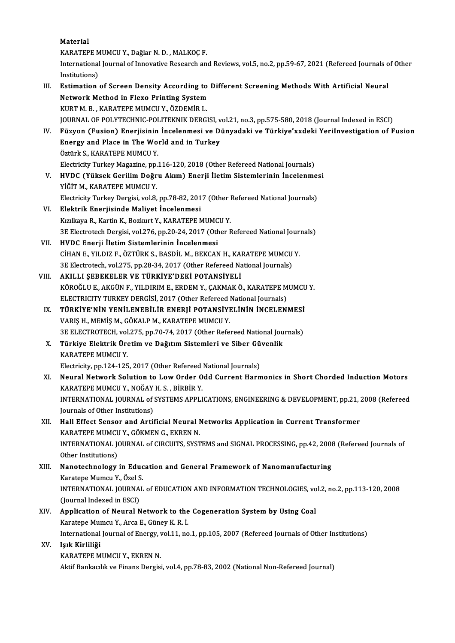Material Material<br>KARATEPE MUMCU Y., Dağlar N. D. , MALKOÇ F.<br>International Journal of Inneustius Bessersh an International Journal of Innovative Research and Reviews, vol.5, no.2, pp.59-67, 2021 (Refereed Journals of Other<br>Institutions) KARATEPE M<br>International<br>Institutions)<br>Estimation International Journal of Innovative Research and Reviews, vol.5, no.2, pp.59-67, 2021 (Refereed Journals of Institutions)<br>III. Estimation of Screen Density According to Different Screening Methods With Artificial Neural<br>Ne Institutions)<br>Estimation of Screen Density According to<br>Network Method in Flexo Printing System<br>KURT M. B., KARATERE MUMCU V. ÖZDEMİR L Estimation of Screen Density According to<br>Network Method in Flexo Printing System<br>KURT M. B. , KARATEPE MUMCU Y., ÖZDEMİR L.<br>JOUPMAL OF POLYTECHNIC POLITEKNIK DEPCI Network Method in Flexo Printing System<br>KURT M. B. , KARATEPE MUMCU Y., ÖZDEMİR L.<br>JOURNAL OF POLYTECHNIC-POLITEKNIK DERGISI, vol.21, no.3, pp.575-580, 2018 (Journal Indexed in ESCI)<br>Füzyon (Eusian) Enerjisinin İnselenmesi KURT M. B. , KARATEPE MUMCU Y., ÖZDEMİR L.<br>JOURNAL OF POLYTECHNIC-POLITEKNIK DERGISI, vol.21, no.3, pp.575-580, 2018 (Journal Indexed in ESCI)<br>IV. Füzyon (Fusion) Enerjisinin İncelenmesi ve Dünyadaki ve Türkiye'xxdeki JOURNAL OF POLYTECHNIC-POLITEKNIK DERGISI, v<br>Füzyon (Fusion) Enerjisinin İncelenmesi ve D<br>Energy and Place in The World and in Turkey<br>Östürk S. KARATERE MUMCU V Füzyon (Fusion) Enerjisinin<br>Energy and Place in The Wo<br>Öztürk S., KARATEPE MUMCU Y.<br>Electricity Turkey Megazine, an Energy and Place in The World and in Turkey<br>Öztürk S., KARATEPE MUMCU Y.<br>Electricity Turkey Magazine, pp.116-120, 2018 (Other Refereed National Journals) Öztürk S., KARATEPE MUMCU Y.<br>Electricity Turkey Magazine, pp.116-120, 2018 (Other Refereed National Journals)<br>V. HVDC (Yüksek Gerilim Doğru Akım) Enerji İletim Sistemlerinin İncelenmesi<br>VİĞİTM KARATERE MUMCU Y Electricity Turkey Magazine, pp.<br>HVDC (Yüksek Gerilim Doğr<br>YİĞİT M., KARATEPE MUMCU Y.<br>Electricity Turkey Dergici, yol 9. HVDC (Yüksek Gerilim Doğru Akım) Enerji İletim Sistemlerinin İncelenme:<br>YİĞİT M., KARATEPE MUMCU Y.<br>Electricity Turkey Dergisi, vol.8, pp.78-82, 2017 (Other Refereed National Journals)<br>Flektrik Enerjisinde Meliyet İncelenm YİĞİT M., KARATEPE MUMCU Y.<br>Electricity Turkey Dergisi, vol.8, pp.78-82, 2017 (Other I<br>VI. Elektrik Enerjisinde Maliyet İncelenmesi<br>Kızılkaya R., Kartin K., Bozkurt Y., KARATEPE MUMCU Y. Electricity Turkey Dergisi, vol.8, pp.78-82, 2017 (Other l<br>Elektrik Enerjisinde Maliyet İncelenmesi<br>Kızılkaya R., Kartin K., Bozkurt Y., KARATEPE MUMCU Y.<br><sup>2E Electrotech Dergisi, vol.276, np.20, 24, 2017 (Other E</sup> 3E Electrotech Dergisi, vol.276, pp.20-24, 2017 (Other Refereed National Journals) VII. HVDC Enerji İletim Sistemlerinin İncelenmesi 3E Electrotech Dergisi, vol.276, pp.20-24, 2017 (Other Refereed National Journal Deutscher Sistem Proceduresi<br>CİHANE., YILDIZ F., ÖZTÜRK S., BASDİL M., BEKCAN H., KARATEPE MUMCU Y.<br>2E Electrotech vol.275, pp.29, 24, 2017 ( HVDC Enerji İletim Sistemlerinin İncelenmesi<br>2EELAN E., YILDIZ F., ÖZTÜRK S., BASDİL M., BEKCAN H., KARATEPE MUMCU<br>3E Electrotech, vol.275, pp.28-34, 2017 (Other Refereed National Journals)<br>AKU LL SEREKELER VE TÜRKİYE'DEKİ CİHAN E., YILDIZ F., ÖZTÜRK S., BASDİL M., BEKCAN H., KAI<br>3E Electrotech, vol.275, pp.28-34, 2017 (Other Refereed Na<br>VIII. AKILLI ŞEBEKELER VE TÜRKİYE'DEKİ POTANSİYELİ<br>7ÖRQĞLU E. AKÇİN E. YU DIRIM E. ERDEM Y. CAKMAK Ö 3E Electrotech, vol.275, pp.28-34, 2017 (Other Refereed National Journals)<br>AKILLI ŞEBEKELER VE TÜRKİYE'DEKİ POTANSİYELİ<br>KÖROĞLU E., AKGÜN F., YILDIRIM E., ERDEM Y., ÇAKMAK Ö., KARATEPE MUMCU Y.<br>ELECTRICITY TURKEY DERÇİSİ 2 AKILLI ŞEBEKELER VE TÜRKİYE'DEKİ POTANSİYELİ<br>KÖROĞLU E., AKGÜN F., YILDIRIM E., ERDEM Y., ÇAKMAK Ö., KARATEPE M<br>ELECTRICITY TURKEY DERGİSİ, 2017 (Other Refereed National Journals)<br>TÜRKIYE'NİN YENİL ENERLI İR ENERLİ BOTANSİ KÖROĞLU E., AKGÜN F., YILDIRIM E., ERDEM Y., ÇAKMAK Ö., KARATEPE MUMCU<br>ELECTRICITY TURKEY DERGİSİ, 2017 (Other Refereed National Journals)<br>IX. TÜRKİYE'NİN YENİLENEBİLİR ENERJİ POTANSİYELİNİN İNCELENMESİ<br>VARIS HAMEMALE MARA ELECTRICITY TURKEY DERGİSİ, 2017 (Other Refereed National Journals)<br>TÜRKİYE'NİN YENİLENEBİLİR ENERJİ POTANSIYELININ İNCELENMESI<br>VARIŞ H., MEMİŞ M., GÖKALP M., KARATEPE MUMCU Y.<br>3E ELECTROTECH, vol.275, pp.70-74, 2017 (Othe IX. TÜRKİYE'NİN YENİLENEBİLİR ENERJİ POTANSİYELİNİN İNCELENMESİ VARIŞ H., MEMİŞ M., GÖKALP M., KARATEPE MUMCU Y.<br>3E ELECTROTECH, vol.275, pp.70-74, 2017 (Other Refereed National Jou<br>X. Türkiye Elektrik Üretim ve Dağıtım Sistemleri ve Siber Güvenlik<br>KARATEPE MUMCU V KARATEPE MUMCU Y.<br>Electricity, pp.124-125, 2017 (Other Refereed National Journals) Türkiye Elektrik Üretim ve Dağıtım Sistemleri ve Siber Gü<br>KARATEPE MUMCU Y.<br>Electricity, pp.124-125, 2017 (Other Refereed National Journals)<br>Noural Natwork Solution to Low Order Odd Gurrent Herr XI. Neural Network Solution to Low Order Odd Current Harmonics in Short Chorded Induction Motors Electricity, pp.124-125, 2017 (Other Refereed<br>Neural Network Solution to Low Order O<br>KARATEPE MUMCU Y., NOĞAY H. S. , BİRBİR Y.<br>INTERNATIONAL JOURNAL QÉ SYSTEMS APPLI INTERNATIONAL JOURNAL of SYSTEMS APPLICATIONS, ENGINEERING & DEVELOPMENT, pp.21, 2008 (Refereed Journals of Other Institutions) KARATEPE MUMCU Y., NOĞAY<br>INTERNATIONAL JOURNAL of :<br>Journals of Other Institutions)<br>Hall Effect Sanson and Antii INTERNATIONAL JOURNAL of SYSTEMS APPLICATIONS, ENGINEERING & DEVELOPMENT, pp.21, :<br>Journals of Other Institutions)<br>XII. Hall Effect Sensor and Artificial Neural Networks Application in Current Transformer<br>KARATERE MUMCU Y. Journals of Other Institutions)<br>Hall Effect Sensor and Artificial Neural I<br>KARATEPE MUMCU Y., GÖKMEN G., EKREN N.<br>INTERNATIONAL JOURNAL of CIRCUITS SYST Hall Effect Sensor and Artificial Neural Networks Application in Current Transformer<br>KARATEPE MUMCU Y., GÖKMEN G., EKREN N.<br>INTERNATIONAL JOURNAL of CIRCUITS, SYSTEMS and SIGNAL PROCESSING, pp.42, 2008 (Refereed Journals o KARATEPE MUMCL<br>INTERNATIONAL JO<br>Other Institutions)<br>Nanatashnalagy INTERNATIONAL JOURNAL of CIRCUITS, SYSTEMS and SIGNAL PROCESSING, pp.42, 2008<br>Other Institutions)<br>XIII. Nanotechnology in Education and General Framework of Nanomanufacturing<br>Karatana Mumay Y. Özel S Other Institutions)<br>Nanotechnology in Education and General Framework of Nanomanufacturing<br>Karatepe Mumcu Y., Özel S. Nanotechnology in Education and General Framework of Nanomanufacturing<br>Karatepe Mumcu Y., Özel S.<br>INTERNATIONAL JOURNAL of EDUCATION AND INFORMATION TECHNOLOGIES, vol.2, no.2, pp.113-120, 2008<br>(Journal Indoved in ESCL) Karatepe Mumcu Y., Özel S<br>INTERNATIONAL JOURNA<br>(Journal Indexed in ESCI)<br>Annligation of Noural N INTERNATIONAL JOURNAL of EDUCATION AND INFORMATION TECHNOLOGIES, vo<br>(Journal Indexed in ESCI)<br>XIV. Application of Neural Network to the Cogeneration System by Using Coal<br>Karatana Mumau Y. Area E. Günau K. B. I. (Journal Indexed in ESCI)<br>Application of Neural Network to the<br>Karatepe Mumcu Y., Arca E., Güney K. R. İ.<br>International Journal of Energy vol 11. no Application of Neural Network to the Cogeneration System by Using Coal<br>Karatepe Mumcu Y., Arca E., Güney K. R. İ.<br>International Journal of Energy, vol.11, no.1, pp.105, 2007 (Refereed Journals of Other Institutions)<br>Jork K Karatepe Mumcu Y., Arca E., Güney K. R. İ.<br>International Journal of Energy, vol.11, no.1, pp.105, 2007 (Refereed Journals of Other Institutions)<br>XV. Işık Kirliliği KARATEPE MUMCUY, EKRENN. Aktif Bankacılık ve Finans Dergisi, vol.4, pp.78-83, 2002 (National Non-Refereed Journal)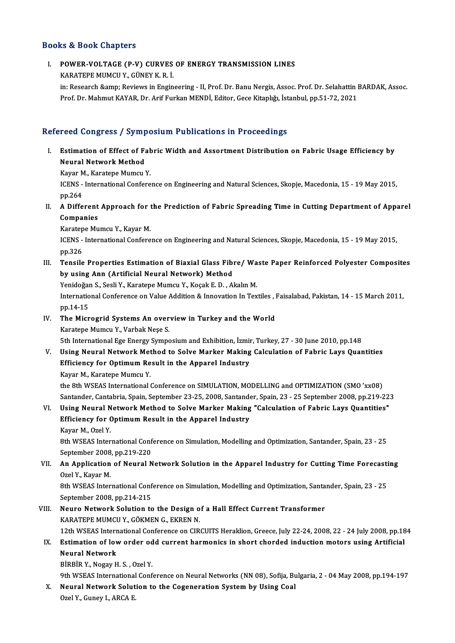### Books&Book Chapters

# OOks & Book Chapters<br>I. POWER-VOLTAGE (P-V) CURVES OF ENERGY TRANSMISSION LINES<br>KARATERE MUMCU Y CUNEV K B J KARATEPE MUMCU Y., GÜNEYK.<br>KARATEPE MUMCU Y., GÜNEYK.R. İ.<br>İn: Bessarsh Samn: Bayjays in Engin

POWER-VOLTAGE (P-V) CURVES OF ENERGY TRANSMISSION LINES<br>KARATEPE MUMCU Y., GÜNEY K. R. İ.<br>in: Research &amp; Reviews in Engineering - II, Prof. Dr. Banu Nergis, Assoc. Prof. Dr. Selahattin BARDAK, Assoc.<br>Prof. Dr. Mohmut K KARATEPE MUMCU Y., GÜNEY K. R. İ.<br>in: Research &amp; Reviews in Engineering - II, Prof. Dr. Banu Nergis, Assoc. Prof. Dr. Selahattin I<br>Prof. Dr. Mahmut KAYAR, Dr. Arif Furkan MENDİ, Editor, Gece Kitaplığı, İstanbul, pp.51-Prof. Dr. Mahmut KAYAR, Dr. Arif Furkan MENDİ, Editor, Gece Kitaplığı, İstanbul, pp.51-72, 2021<br>Refereed Congress / Symposium Publications in Proceedings

efereed Congress / Symposium Publications in Proceedings<br>I. Estimation of Effect of Fabric Width and Assortment Distribution on Fabric Usage Efficiency by<br>Noural Natwork Method Neural Network Method<br>Neural Network Method<br>Neural Network Method Estimation of Effect of Fal<br>Neural Network Method<br>Kayar M., Karatepe Mumcu Y.<br>ICENS - International Cenfere

Neural Network Method<br>Kayar M., Karatepe Mumcu Y.<br>ICENS - International Conference on Engineering and Natural Sciences, Skopje, Macedonia, 15 - 19 May 2015,<br>nn 264 Kayar M<br>ICENS -<br>pp.264 ICENS - International Conference on Engineering and Natural Sciences, Skopje, Macedonia, 15 - 19 May 2015,<br>pp.264<br>II. A Different Approach for the Prediction of Fabric Spreading Time in Cutting Department of Apparel<br>Compan

pp.264<br>A Different<br>Companies<br>Karatane Mu **A Different Approach for t<br>Companies<br>Karatepe Mumcu Y., Kayar M.<br>ICENS - International Confore** 

Companies<br>Karatepe Mumcu Y., Kayar M.<br>ICENS - International Conference on Engineering and Natural Sciences, Skopje, Macedonia, 15 - 19 May 2015,<br>pp.326 Karatepe Mumcu Y, Kayar M. ICENS - International Conference on Engineering and Natural Sciences, Skopje, Macedonia, 15 - 19 May 2015,<br>pp.326<br>III. Tensile Properties Estimation of Biaxial Glass Fibre/Waste Paper Reinforced Polyester Composites<br>by usi

pp.326<br>Tensile Properties Estimation of Biaxial Glass Fibi<br>by using Ann (Artificial Neural Network) Method<br>Yonidoğan S. Sosli V. Karatane Mumau V. Kosak E. D. Al Tensile Properties Estimation of Biaxial Glass Fibre/ Wa<br>by using Ann (Artificial Neural Network) Method<br>Yenidoğan S., Sesli Y., Karatepe Mumcu Y., Koçak E. D. , Akalın M.<br>International Conference en Value Addition & Innex

by using Ann (Artificial Neural Network) Method<br>Yenidoğan S., Sesli Y., Karatepe Mumcu Y., Koçak E. D. , Akalın M.<br>International Conference on Value Addition & Innovation In Textiles , Faisalabad, Pakistan, 14 - 15 March 2 Yenidoğan S., Sesli Y., Karatepe Mumcu Y., Koçak E. D., Akalın M.

IV. The Microgrid Systems An overview in Turkey and the World Karatepe Mumcu Y., Varbak Neşe S.

5th International Ege Energy Symposium and Exhibition, İzmir, Turkey, 27 - 30 June 2010, pp.148

V. Using Neural Network Method to Solve Marker Making Calculation of Fabric Lays Quantities 5th International Ege Energy Symposium and Exhibition, İzmi<br>Using Neural Network Method to Solve Marker Making<br>Efficiency for Optimum Result in the Apparel Industry<br>Kayar M. Karatana Mumgu V. Using Neural Network Met<br>Efficiency for Optimum Re<br>Kayar M., Karatepe Mumcu Y.<br>the <sup>Oth WSEAS International (</sup>

Kayar M., Karatepe Mumcu Y.<br>the 8th WSEAS International Conference on SIMULATION, MODELLING and OPTIMIZATION (SMO 'xx08) Santander, Cantabria, Spain, September 23-25, 2008, Santander, Spain, 23 - 25 September 2008, pp.219-223

## VI. Using Neural Network Method to Solve Marker Making "Calculation of Fabric Lays Quantities" Santander, Cantabria, Spain, September 23-25, 2008, Santande<br>Using Neural Network Method to Solve Marker Making<br>Efficiency for Optimum Result in the Apparel Industry<br>Kayar M. Orel V. Usi<mark>ng Neural N<br>Efficiency for (</mark><br>Kayar M., Ozel Y.<br><sup>Oth WSEAS Inton</sup>

Efficiency for Optimum Result in the Apparel Industry<br>Kayar M., Ozel Y.<br>8th WSEAS International Conference on Simulation, Modelling and Optimization, Santander, Spain, 23 - 25<br>September 2008, pp.219, 220. Kayar M., Ozel Y.<br>8th WSEAS International Conf<br>September 2008, pp.219-220<br>An Annlisation of Nounal N 8th WSEAS International Conference on Simulation, Modelling and Optimization, Santander, Spain, 23 - 25<br>September 2008, pp.219-220<br>VII. An Application of Neural Network Solution in the Apparel Industry for Cutting Time For

# September 2008, pp.219-220<br> **An Application of Neural Network Solution in the Apparel Industry for Cutting Time Forecast**<br>
Ozel Y., Kayar M.<br>
8th WSEAS International Conference on Simulation, Modelling and Optimization, Sa An Application of Neural Network Solution in the Apparel Industry for Cutting Time Forecasti<br>Ozel Y., Kayar M.<br>8th WSEAS International Conference on Simulation, Modelling and Optimization, Santander, Spain, 23 - 25<br>Septemb

September 2008,pp.214-215 8th WSEAS International Conference on Simulation, Modelling and Optimization, Santa<br>September 2008, pp.214-215<br>VIII. Neuro Network Solution to the Design of a Hall Effect Current Transformer<br>KARATERE MIMCUX CÖKMEN C. EKREN

September 2008, pp.214-215<br>Neuro Network Solution to the Design o<br>KARATEPE MUMCU Y., GÖKMEN G., EKREN N.<br>12th WSEAS International Conference on CIB. Neuro Network Solution to the Design of a Hall Effect Current Transformer<br>KARATEPE MUMCU Y., GÖKMEN G., EKREN N.<br>12th WSEAS International Conference on CIRCUITS Heraklion, Greece, July 22-24, 2008, 22 - 24 July 2008, pp.18 KARATEPE MUMCU Y., GÖKMEN G., EKREN N.<br>12th WSEAS International Conference on CIRCUITS Heraklion, Greece, July 22-24, 2008, 22 - 24 July 2008, pp.18<br>IX. Estimation of low order odd current harmonics in short chorded induct

## 12th WSEAS Intern<br>Estimation of lov<br>Neural Network<br>Pippip y Negay H Estimation of low order od<br>Neural Network<br>BİRBİR Y., Nogay H. S. , Ozel Y.<br><sup>Oth WSEAS International Conf</sub></sup> Neural Network<br>BİRBİR Y., Nogay H. S. , Ozel Y.<br>9th WSEAS International Conference on Neural Networks (NN 08), Sofija, Bulgaria, 2 - 04 May 2008, pp.194-197<br>Neural Network Solution to the Cogeneration System by Heing Cool

BİRBİR Y., Nogay H. S. , Ozel Y.<br>9th WSEAS International Conference on Neural Networks (NN 08), Sofija, Bu<br>X. Neural Network Solution to the Cogeneration System by Using Coal<br>Orel Y. Gunay L. ABCA E. X. Neural Network Solution to the Cogeneration System by Using Coal Ozel Y., Guney I., ARCA E.